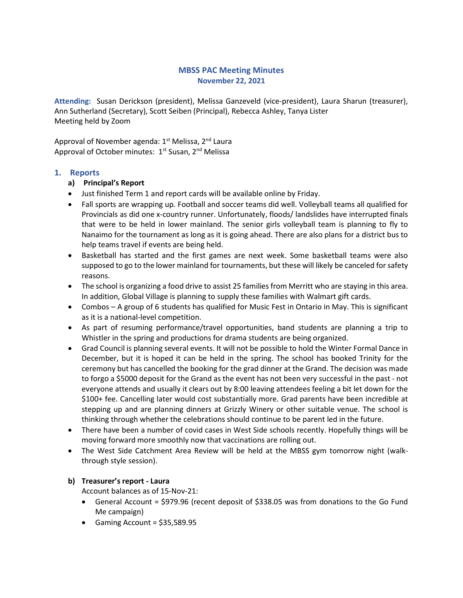# MBSS PAC Meeting Minutes November 22, 2021

Attending: Susan Derickson (president), Melissa Ganzeveld (vice-president), Laura Sharun (treasurer), Ann Sutherland (Secretary), Scott Seiben (Principal), Rebecca Ashley, Tanya Lister Meeting held by Zoom

Approval of November agenda: 1<sup>st</sup> Melissa, 2<sup>nd</sup> Laura Approval of October minutes: 1<sup>st</sup> Susan, 2<sup>nd</sup> Melissa

# 1. Reports

### a) Principal's Report

- Just finished Term 1 and report cards will be available online by Friday.
- Fall sports are wrapping up. Football and soccer teams did well. Volleyball teams all qualified for Provincials as did one x-country runner. Unfortunately, floods/ landslides have interrupted finals that were to be held in lower mainland. The senior girls volleyball team is planning to fly to Nanaimo for the tournament as long as it is going ahead. There are also plans for a district bus to help teams travel if events are being held.
- Basketball has started and the first games are next week. Some basketball teams were also supposed to go to the lower mainland for tournaments, but these will likely be canceled for safety reasons.
- The school is organizing a food drive to assist 25 families from Merritt who are staying in this area. In addition, Global Village is planning to supply these families with Walmart gift cards.
- Combos A group of 6 students has qualified for Music Fest in Ontario in May. This is significant as it is a national-level competition.
- As part of resuming performance/travel opportunities, band students are planning a trip to Whistler in the spring and productions for drama students are being organized.
- Grad Council is planning several events. It will not be possible to hold the Winter Formal Dance in December, but it is hoped it can be held in the spring. The school has booked Trinity for the ceremony but has cancelled the booking for the grad dinner at the Grand. The decision was made to forgo a \$5000 deposit for the Grand as the event has not been very successful in the past - not everyone attends and usually it clears out by 8:00 leaving attendees feeling a bit let down for the \$100+ fee. Cancelling later would cost substantially more. Grad parents have been incredible at stepping up and are planning dinners at Grizzly Winery or other suitable venue. The school is thinking through whether the celebrations should continue to be parent led in the future.
- There have been a number of covid cases in West Side schools recently. Hopefully things will be moving forward more smoothly now that vaccinations are rolling out.
- The West Side Catchment Area Review will be held at the MBSS gym tomorrow night (walkthrough style session).

### b) Treasurer's report - Laura

Account balances as of 15-Nov-21:

- General Account = \$979.96 (recent deposit of \$338.05 was from donations to the Go Fund Me campaign)
- Gaming Account =  $$35,589.95$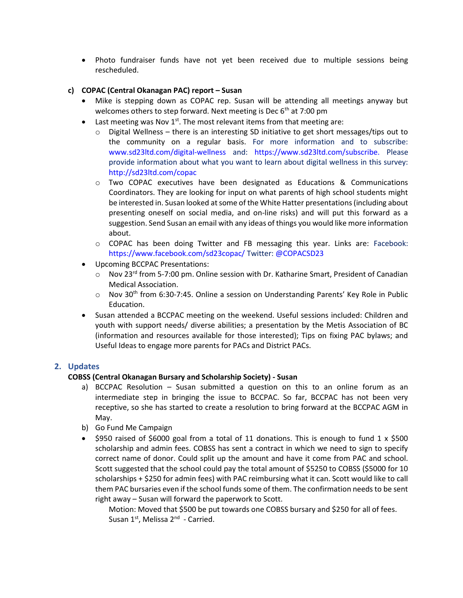Photo fundraiser funds have not yet been received due to multiple sessions being rescheduled.

# c) COPAC (Central Okanagan PAC) report – Susan

- Mike is stepping down as COPAC rep. Susan will be attending all meetings anyway but welcomes others to step forward. Next meeting is Dec  $6<sup>th</sup>$  at 7:00 pm
- East meeting was Nov  $1^{st}$ . The most relevant items from that meeting are:
	- $\circ$  Digital Wellness there is an interesting SD initiative to get short messages/tips out to the community on a regular basis. For more information and to subscribe: www.sd23ltd.com/digital-wellness and: https://www.sd23ltd.com/subscribe. Please provide information about what you want to learn about digital wellness in this survey: http://sd23ltd.com/copac
	- o Two COPAC executives have been designated as Educations & Communications Coordinators. They are looking for input on what parents of high school students might be interested in. Susan looked at some of the White Hatter presentations (including about presenting oneself on social media, and on-line risks) and will put this forward as a suggestion. Send Susan an email with any ideas of things you would like more information about.
	- o COPAC has been doing Twitter and FB messaging this year. Links are: Facebook: https://www.facebook.com/sd23copac/ Twitter: @COPACSD23
- Upcoming BCCPAC Presentations:
	- o Nov 23<sup>rd</sup> from 5-7:00 pm. Online session with Dr. Katharine Smart, President of Canadian Medical Association.
	- o Nov 30<sup>th</sup> from 6:30-7:45. Online a session on Understanding Parents' Key Role in Public Education.
- Susan attended a BCCPAC meeting on the weekend. Useful sessions included: Children and youth with support needs/ diverse abilities; a presentation by the Metis Association of BC (information and resources available for those interested); Tips on fixing PAC bylaws; and Useful Ideas to engage more parents for PACs and District PACs.

# 2. Updates

# COBSS (Central Okanagan Bursary and Scholarship Society) - Susan

- a) BCCPAC Resolution Susan submitted a question on this to an online forum as an intermediate step in bringing the issue to BCCPAC. So far, BCCPAC has not been very receptive, so she has started to create a resolution to bring forward at the BCCPAC AGM in May.
- b) Go Fund Me Campaign
- $\bullet$  \$950 raised of \$6000 goal from a total of 11 donations. This is enough to fund 1 x \$500 scholarship and admin fees. COBSS has sent a contract in which we need to sign to specify correct name of donor. Could split up the amount and have it come from PAC and school. Scott suggested that the school could pay the total amount of \$5250 to COBSS (\$5000 for 10 scholarships + \$250 for admin fees) with PAC reimbursing what it can. Scott would like to call them PAC bursaries even if the school funds some of them. The confirmation needs to be sent right away – Susan will forward the paperwork to Scott.

Motion: Moved that \$500 be put towards one COBSS bursary and \$250 for all of fees. Susan  $1^{st}$ , Melissa  $2^{nd}$  - Carried.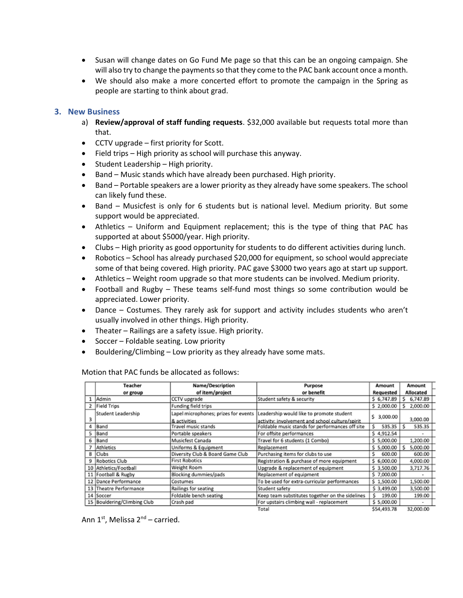- Susan will change dates on Go Fund Me page so that this can be an ongoing campaign. She will also try to change the payments so that they come to the PAC bank account once a month.
- We should also make a more concerted effort to promote the campaign in the Spring as people are starting to think about grad.

### 3. New Business

- a) Review/approval of staff funding requests. \$32,000 available but requests total more than that.
- CCTV upgrade first priority for Scott.
- Field trips High priority as school will purchase this anyway.
- Student Leadership High priority.
- Band Music stands which have already been purchased. High priority.
- Band Portable speakers are a lower priority as they already have some speakers. The school can likely fund these.
- Band Musicfest is only for 6 students but is national level. Medium priority. But some support would be appreciated.
- Athletics Uniform and Equipment replacement; this is the type of thing that PAC has supported at about \$5000/year. High priority.
- Clubs High priority as good opportunity for students to do different activities during lunch.
- Robotics School has already purchased \$20,000 for equipment, so school would appreciate some of that being covered. High priority. PAC gave \$3000 two years ago at start up support.
- Athletics Weight room upgrade so that more students can be involved. Medium priority.
- Football and Rugby These teams self-fund most things so some contribution would be appreciated. Lower priority.
- Dance Costumes. They rarely ask for support and activity includes students who aren't usually involved in other things. High priority.
- Theater Railings are a safety issue. High priority.
- Soccer Foldable seating. Low priority
- Bouldering/Climbing Low priority as they already have some mats.

|                | <b>Teacher</b>              | <b>Name/Description</b>              | Purpose                                         | Amount           | Amount           |  |
|----------------|-----------------------------|--------------------------------------|-------------------------------------------------|------------------|------------------|--|
|                | or group                    | of item/project                      | or benefit                                      | <b>Requested</b> | <b>Allocated</b> |  |
|                | Admin                       | CCTV upgrade                         | Student safety & security                       | \$6,747.89       | \$6,747.89       |  |
| $\overline{2}$ | <b>Field Trips</b>          | Funding field trips                  |                                                 | \$2,000.00       | \$2,000.00       |  |
|                | Student Leadership          | Lapel microphones; prizes for events | Leadership would like to promote student        |                  |                  |  |
|                |                             | & activities                         | activity: involvement and school culture/spirit | Ŝ<br>3,000.00    | 3,000.00         |  |
| 4              | Band                        | Travel music stands                  | Foldable music stands for performances off site | 535.35<br>s      | 535.35<br>s      |  |
| s              | Band                        | Portable speakers                    | For offsite performances                        | \$4,912.54       | ۰                |  |
| 6              | Band                        | Musicfest Canada                     | Travel for 6 students (1 Combo)                 | \$5,000.00       | 1,200.00         |  |
|                | Athletics                   | Uniforms & Equipment                 | Replacement                                     | \$5,000.00       | 5,000.00<br>s    |  |
| 8              | <b>Clubs</b>                | Diversity Club & Board Game Club     | Purchasing items for clubs to use               | 600.00<br>s      | 600.00           |  |
| 9              | Robotics Club               | <b>First Robotics</b>                | Registration & purchase of more equipment       | \$6,000.00       | 4,000.00         |  |
|                | 10 Athletics/Football       | Weight Room                          | Upgrade & replacement of equipment              | \$3,500.00       | 3,717.76         |  |
|                | 11 Football & Rugby         | Blocking dummies/pads                | Replacement of equipment                        | \$7,000.00       |                  |  |
|                | 12 Dance Performance        | Costumes                             | To be used for extra-curricular performances    | \$1,500.00       | 1,500.00         |  |
|                | 13 Theatre Performance      | Railings for seating                 | Student safety                                  | \$3,499.00       | 3,500.00         |  |
|                | 14 Soccer                   | Foldable bench seating               | Keep team substitutes together on the sidelines | s<br>199.00      | 199.00           |  |
|                | 15 Bouldering/Climbing Club | Crash pad                            | For upstairs climbing wall - replacement        | \$5,000.00       | ۰                |  |
|                |                             |                                      | Total                                           | \$54,493.78      | 32,000.00        |  |

Motion that PAC funds be allocated as follows:

Ann  $1^{st}$ , Melissa  $2^{nd}$  – carried.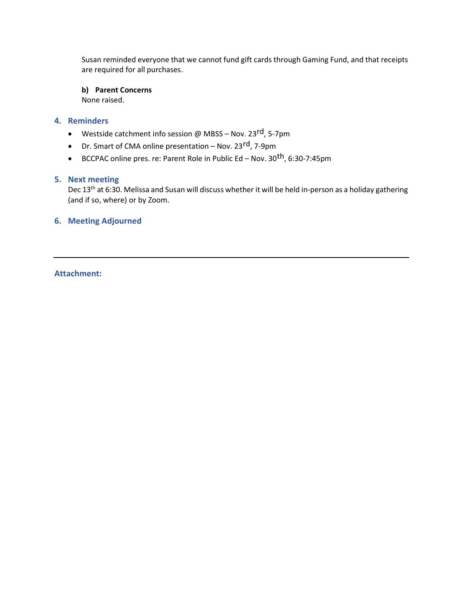Susan reminded everyone that we cannot fund gift cards through Gaming Fund, and that receipts are required for all purchases.

b) Parent Concerns

None raised.

# 4. Reminders

- Westside catchment info session @ MBSS Nov. 23rd, 5-7pm
- Dr. Smart of CMA online presentation Nov. 23<sup>rd</sup>, 7-9pm
- BCCPAC online pres. re: Parent Role in Public Ed Nov. 30<sup>th</sup>, 6:30-7:45pm

# 5. Next meeting

Dec 13<sup>th</sup> at 6:30. Melissa and Susan will discuss whether it will be held in-person as a holiday gathering (and if so, where) or by Zoom.

# 6. Meeting Adjourned

# Attachment: